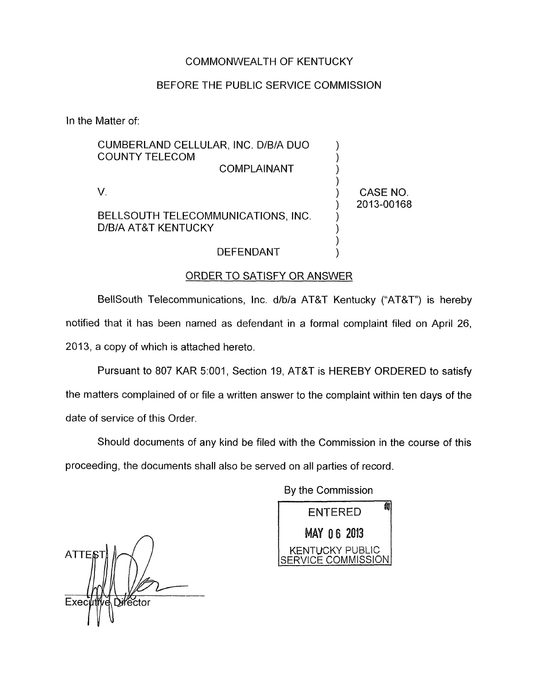#### COMMONWEALTH OF KENTUCKY

## BEFORE THE PUBLIC SERVICE COMMISSION

In the Matter of:

| CUMBERLAND CELLULAR, INC. D/B/A DUO<br><b>COUNTY TELECOM</b><br>COMPLAINANT |            |
|-----------------------------------------------------------------------------|------------|
| BELLSOUTH TELECOMMUNICATIONS, INC.                                          | CASE NO.   |
| D/B/A AT&T KENTUCKY                                                         | 2013-00168 |

## DEFENDANT )

#### ORDER TO SATISFY OR ANSWER

BellSouth Telecommunications, Inc. d/b/a AT&T Kentucky ("AT&T") is hereby notified that it has been named as defendant in a formal complaint filed on April **26, 2013,** a copy of which is attached hereto.

Pursuant to **807** KAR **5:OOl** , Section **19,** AT&T is HEREBY ORDERED to satisfy the matters complained of or file a written answer to the complaint within ten days of the date of service of this Order,

Should documents of any kind be filed with the Commission in the course of this proceeding, the documents shall also be served on all parties of record.

By the Commission

0Z) **ENTERED MAY 06 2013 KENTUCKY PUBLIC** ERVICE COMMISSION

**ATTEE** Director Exec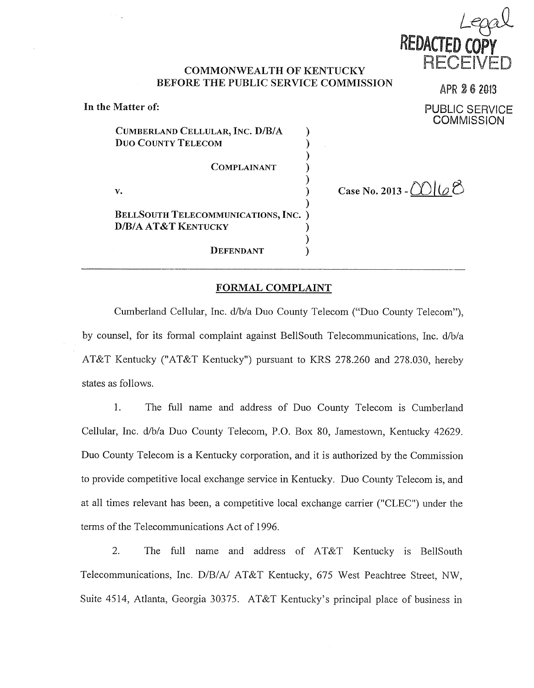

APR 26 2013

## **COMMONWEALTH OF KENTTJCKY BEFORE THE PUBLIC SERVICE COMMISSION**

**In the Matter of: PUBLIC SERVICE COMMISSION** CUMBERLAND CELLULAR, INC. D/B/A  $)$ **Duo COUNTY TELECOM**  ſ ) **COMPLAINANT** ) Case No. 2013 -  $\bigcirc$   $\bigcirc$   $\bigcirc$ **V.**  λ **BELLSOUTH TELECOMMUNICATIONS, INC.** ) **D/B/A AT&T KENTUCKY** )  $)$ **DEFENDANT** )

#### **FORMAL COMPLAINT**

Cumberland Cellular, Inc. d/b/a Duo County Telecom ("Duo County Telecom"), by counsel, for its formal complaint against BellSouth Telecommunications, Inc. d/b/a AT&T Kentucky ("AT&T Kentucky") pursuant to KRS 278.260 and 278.030, hereby states as follows.

1. The full name and address of Duo County Telecom is Cumberland Cellular, Inc. d/b/a Duo County Telecom, P.O. Box 80, Jamestown, Kentucky 42629. Duo County Telecom is a Kentucky corporation, and it is authorized by the Commission to provide competitive local exchange service in Kentucky. Duo County Telecom is, and at all times relevant has been, a competitive local exchange carrier ("CLEC") under the terms of the Telecommunications Act of 1996.

2. The full name and address of AT&T Kentucky is BellSouth Telecommunications, Inc. D/B/A/ AT&T Kentucky, 675 West Peachtree Street, NW, Suite 4514, Atlanta, Georgia 30375. AT&T Kentucky's principal place of business in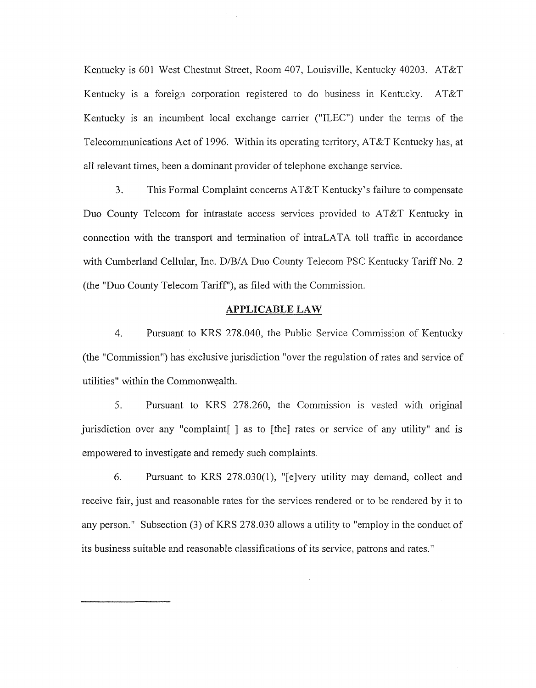Kentucky is 601 West Chestnut Street, Room 407, Louisville, Kentucky 40203. AT&T Kentucky is a foreign corporation registered to do business in Kentucky. AT&T Kentucky is an incumbent local exchange carrier ("ILEC") under the terms of the Telecommunications Act of 1996. Within its operating territory, AT&T Kentucky has, at all relevant times, been a dominant provider of telephone exchange service.

3. This Formal Complaint concerns AT&T Kentucky's failure to compensate Duo County Telecom for intrastate access services provided to AT&T Kentucky in connection with the transport and termination of intraLATA toll traffic in accordance with Cumberland Cellular, Inc. D/B/A Duo County Telecom PSC Kentucky Tariff No. 2 (the "Duo County Telecom Tariff **I),** as filed with the Commission.

#### **APPLICABLE LAW**

4. Pursuant to KRS 278.040, the Public Service Commission of Kentucky (the "Commission") has exclusive jurisdiction "over the regulation of rates and service of utilities" within the Commonwealth.

5. Pursuant to KRS 278.260, the Commission is vested with original jurisdiction over any "complaint[ ] as to [the] rates or service of any utility" and is empowered to investigate and remedy such complaints.

6. Pursuant to KRS 278.030(1), "[elvery utility may demand, collect and receive fair, just and reasonable rates for the services rendered or to be rendered by it to any person." Subsection (3) of KRS 278.030 allows a utility to "employ in the conduct of its business suitable and reasonable classifications of its service, patrons and rates."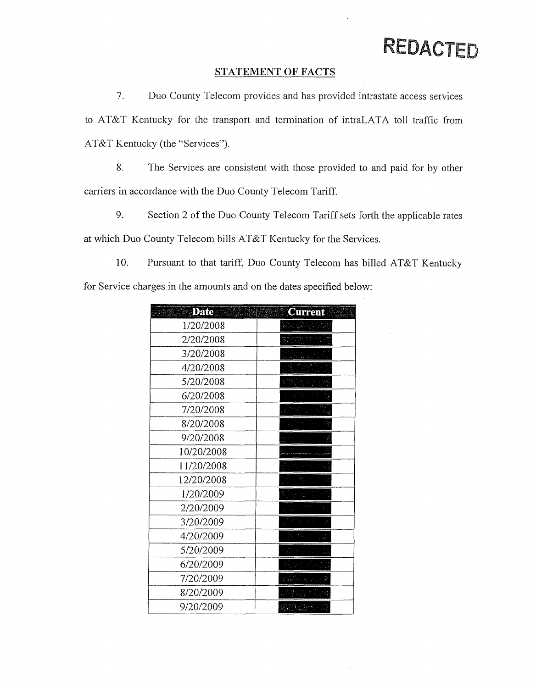#### **STATEMENT OF FACTS**

 $\mathcal{L}$ 

 $\gamma_{\rm{max}}$ 

7. Duo County Teleconi provides and has provided intrastate access services to AT&T Kentucky for the transport and termination of intraLATA toll traffic from AT&T Kentucky (the "Services").

8. The Services are consistent with those provided to and paid for by other carriers in accordance with the Duo County Telecom Tariff.

9. Section 2 of the Duo County Telecom Tariff sets forth the applicable rates at which Duo County Telecom bills AT&T Kentucky for the Services.

10. Pursuant to that tariff, Duo County Telecom has billed AT&T Kentucky for Service charges in the amounts and on the dates specified below:

| <b>Current</b>            |
|---------------------------|
| belara 150 <sup>8</sup> a |
|                           |
|                           |
|                           |
|                           |
|                           |
|                           |
|                           |
|                           |
|                           |
|                           |
|                           |
|                           |
|                           |
|                           |
|                           |
|                           |
|                           |
|                           |
|                           |
|                           |
|                           |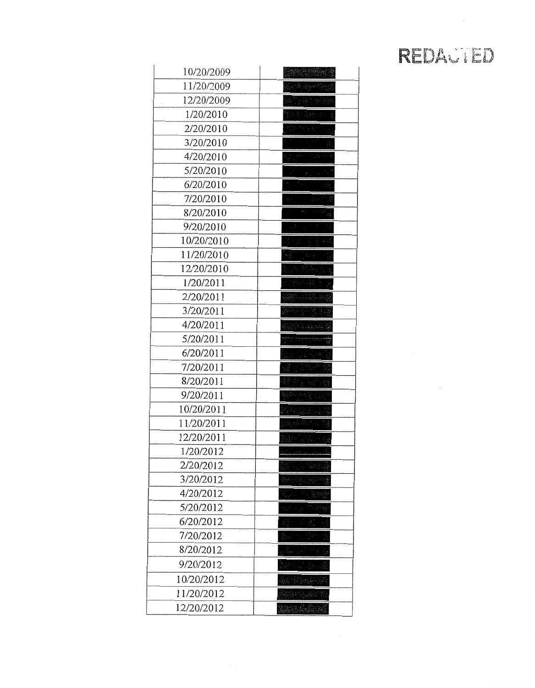$\bar{\mathcal{A}}$ 

| 10/20/2009 |                                                                                                       |
|------------|-------------------------------------------------------------------------------------------------------|
| 11/20/2009 |                                                                                                       |
| 12/20/2009 |                                                                                                       |
| 1/20/2010  |                                                                                                       |
| 2/20/2010  |                                                                                                       |
| 3/20/2010  |                                                                                                       |
| 4/20/2010  | in an S                                                                                               |
| 5/20/2010  |                                                                                                       |
| 6/20/2010  |                                                                                                       |
| 7/20/2010  |                                                                                                       |
| 8/20/2010  | $\sigma_{\rm eff} = 1000$ km $\sigma_{\rm s}$                                                         |
| 9/20/2010  |                                                                                                       |
| 10/20/2010 | $\mathcal{O}(\mathcal{O}_\mathcal{O})$ . The set of $\mathcal{O}_\mathcal{O}$                         |
| 11/20/2010 | an sa sana                                                                                            |
| 12/20/2010 |                                                                                                       |
| 1/20/2011  |                                                                                                       |
| 2/20/2011  |                                                                                                       |
| 3/20/2011  |                                                                                                       |
| 4/20/2011  | $\label{eq:2.1} \Delta_{\rm{1.5}} \simeq 0.5 \; \mbox{GeV} \; \mbox{GeV} \; \mbox{GeV} \; \mbox{GeV}$ |
| 5/20/2011  |                                                                                                       |
| 6/20/2011  |                                                                                                       |
| 7/20/2011  |                                                                                                       |
| 8/20/2011  |                                                                                                       |
| 9/20/2011  |                                                                                                       |
| 10/20/2011 | فجاله الوارثة وأورثه                                                                                  |
| 11/20/2011 |                                                                                                       |
| 12/20/2011 |                                                                                                       |
| 1/20/2012  |                                                                                                       |
| 2/20/2012  | 威胁定                                                                                                   |
| 3/20/2012  |                                                                                                       |
| 4/20/2012  |                                                                                                       |
| 5/20/2012  |                                                                                                       |
| 6/20/2012  |                                                                                                       |
| 7/20/2012  |                                                                                                       |
| 8/20/2012  |                                                                                                       |
| 9/20/2012  |                                                                                                       |
| 10/20/2012 |                                                                                                       |
| 11/20/2012 |                                                                                                       |
| 12/20/2012 | alan kutha k                                                                                          |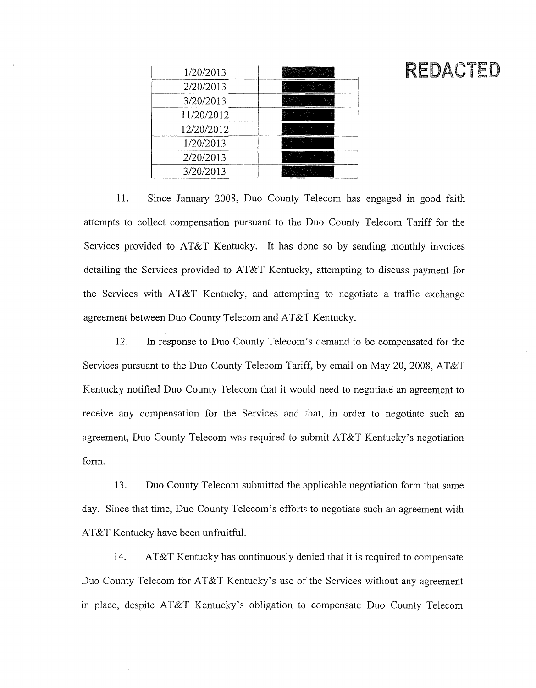| 1/20/2013  |  |
|------------|--|
| 2/20/2013  |  |
| 3/20/2013  |  |
| 11/20/2012 |  |
| 12/20/2012 |  |
| 1/20/2013  |  |
| 2/20/2013  |  |
| 3/20/2013  |  |

11. Since January 2008, Duo County Telecom has engaged in good faith attempts to collect compensation pursuant to the Duo County Telecom Tariff for the Services provided to AT&T Kentucky. It has done so by sending monthly invoices detailing the Services provided to AT&T Kentucky, attempting to discuss payment for the Services with  $AT&T$  Kentucky, and attempting to negotiate a traffic exchange agreement between Duo County Telecom and AT&T Kentucky.

12. In response to Duo County Telecom's demand to be compensated for the Services pursuant to the Duo County Telecom Tariff, by email on May 20, 2008, AT&T Kentucky notified Duo County Telecom that it would need to negotiate an agreement to receive any compensation for the Services and that, in order to negotiate such an agreement, Duo County Telecom was required to submit AT&T Kentucky's negotiation form.

13. DUO County Telecom submitted the applicable negotiation form that same day. Since that time, Duo County Telecom's efforts to negotiate such an agreement with AT&T Kentucky have been unfruitful.

14. AT&T Kentucky has continuously denied that it is required to compensate Duo County Telecom for AT&T Kentucky's use of the Services without any agreement in place, despite AT&T Kentucky's obligation to compensate Duo County Telecom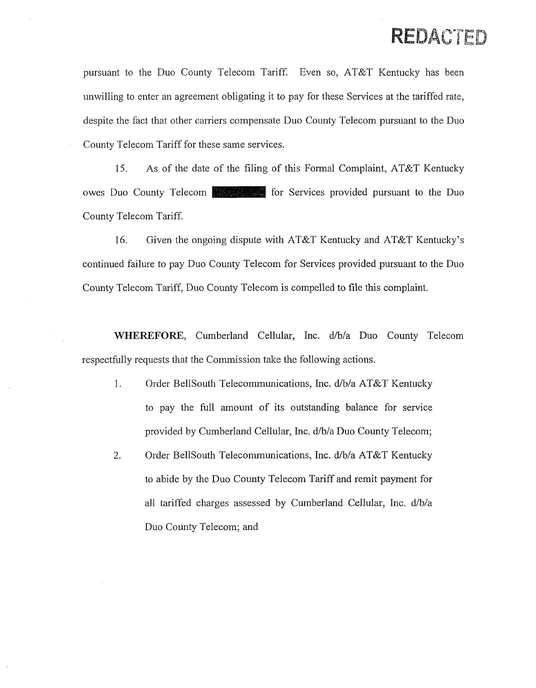pursuant to the Duo County Telecom Tariff. Even so, AT&T Kentucky has been unwilling to enter an agreement obligating it to pay for these Services at the tariffed rate, despite the fact that other carriers compensate Duo County Telecom pursuant to the Duo County Telecom Tariff for these same services.

15. As of the date of the filing of this Formal Complaint, AT&T Kentucky owes Duo County Telecom **for Services** for Services provided pursuant to the Duo County Telecom Tariff.

16. Given the ongoing dispute with AT&T Kentucky and AT&T Kentucky's continued failure to pay Duo County Telecom for Services provided pursuant to the Duo County Telecom Tariff, Duo County Telecom is compelled to file this complaint.

WHEREFORE, Cumberland Cellular, Inc. d/b/a Duo County Telecom respectfully requests that the Commission take the following actions.

- 1. Order BellSouth Telecommunications, Inc. d/b/a AT&T Kentucky to pay the hll amount of its outstanding balance for service provided by Cumberland Cellular, Inc. d/b/a Duo County Telecom;
- Order BellSouth Telecommunications, Inc. d/b/a AT&T Kentucky to abide by the Duo County Telecom Tariff and remit payment for all tariffed charges assessed by Cumberland Cellular, Inc. d/b/a Duo County Telecom; and 2,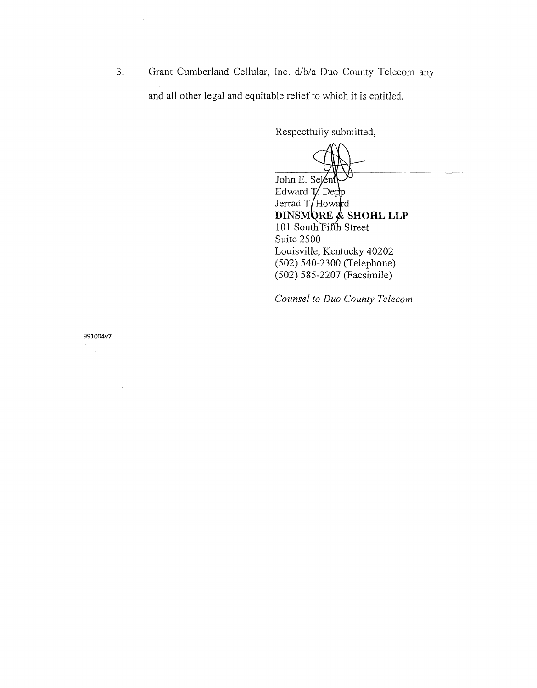3. Grant Cumberland Cellular, Inc. d/b/a Duo County Telecom any and all other legal and equitable relief to which it is entitled.

Respectfully submitted,

John E. Selen Edward T. Dep Jerrad  $T/H$ oward **DINSMORE & SHOHL LLP** 101 South Fifth Street Suite 2500 Louisville, Kentucky 40202 (502) 540-2300 (Telephone) (502) 585-2207 (Facsimile)

*Counsel to Duo County Telecom* 

991004v7

 $\mathcal{F}_{\mathcal{F}}$  .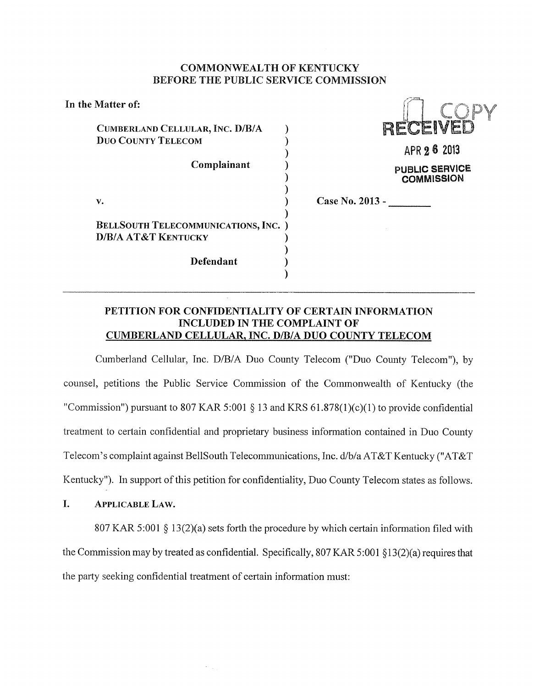#### **COMMONWEALTH** OF **KENTUCKY BEFORE THE PUBLIC SERVICE COMMISSION**

| In the Matter of:                                                           |                                            |
|-----------------------------------------------------------------------------|--------------------------------------------|
| CUMBERLAND CELLULAR, INC. D/B/A<br><b>DUO COUNTY TELECOM</b><br>Complainant | RECEIVEI<br>APR 2 6 2013<br>PUBLIC SERVICE |
| $\mathbf{v}$ .                                                              | <b>COMMISSION</b><br>Case No. 2013 -       |
| <b>BELLSOUTH TELECOMMUNICATIONS, INC.</b> )                                 |                                            |
| <b>D/B/A AT&amp;T KENTUCKY</b>                                              |                                            |
| Defendant                                                                   |                                            |
|                                                                             |                                            |

## **PETITION FOR CONFIDENTIALITY OF CERTAIN INFORMATION INCLUDED IN THE COMPLAINT OF CUMBERLAND CELLULAR, INC. D/B/A DUO COUNTY TELECOM**

Cumberland Cellular, Tnc. D/B/A DUO County Telecom ("DUO County Telecom"), by counsel, petitions the Public Service Commission of the Commonwealth of Kentucky (the "Commission") pursuant to 807 KAR 5:001  $\S$  13 and KRS 61.878(1)(c)(1) to provide confidential treatment to certain confidential and proprietary business information contained in Duo County Telecom's complaint against BellSouth Telecommunications, Inc. d/b/a AT&T Kentucky ("AT&T Kentucky"). In support of this petition for confidentiality, Duo County Telecom states as follows.

**I. APPLICABLE LAW.** 

807 KAR 5:001  $\S$  13(2)(a) sets forth the procedure by which certain information filed with the Commission may by treated as confidential. Specifically, 807 KAR 5:001 \$13(2)(a) requires that the party seeking confidential treatment of certain information must: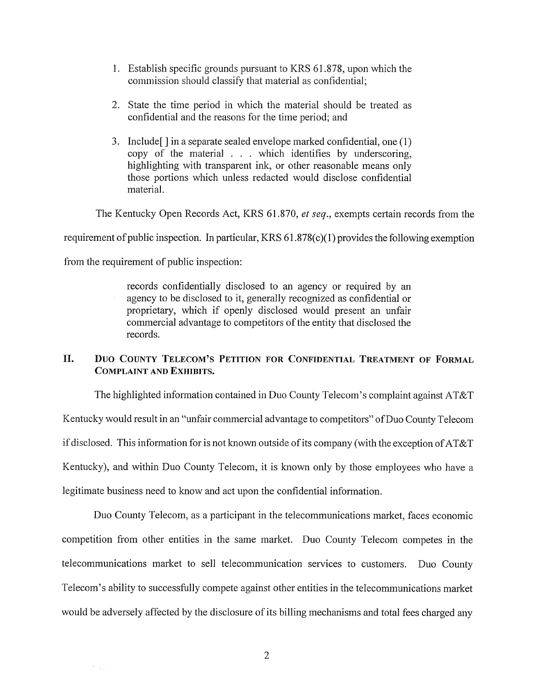- 1. Establish specific grounds pursuant to KRS 61.878, upon which the commission should classify that material as confidential;
- 2. State the time period in which the material should be treated as confidential and the reasons for the time period; and
- 3. Include[ ] in a separate sealed envelope marked confidential, one (1) copy of the material . . . which identifies by underscoring, highlighting with transparent ink, or other reasonable means only those portions which unless redacted would disclose confidential material.

The Kentucky Open Records Act, KRS 61.870, *et seg.,* exempts certain records from the

requirement of public inspection. In particular, KRS 6 1.878(c)( 1) provides the following exemption

from the requirement of public inspection:

 $\gamma_{\rm{max}}$ 

records confidentially disclosed to an agency or required by an agency to be disclosed to it, generally recognized as confidential or proprietary, which if openly disclosed would present an unfair commercial advantage to competitors of the entity that disclosed the records.

# **11. DUO COUNTY TELECOM'S PETITION FOR CONFIDENTIAL TREATMENT OF FORMAL COMPLAINT AND EXHIBITS.**

The highlighted information contained in Duo County Telecom's complaint against AT&T Kentucky would result in an "unfair commercial advantage to competitors" of Duo County Telecom if disclosed. This information for is not known outside of its company (with the exception of AT&T Kentucky), and within Duo County Telecom, it is known only by those employees who have a legitimate business need to know and act upon the confidential information.

Duo County Telecom, as a participant in the telecommunications market, faces economic competition from other entities in the same market. Duo County Telecom competes in the telecommunications market to sell telecommunication services to customers. Duo County Telecom's ability to successfully compete against other entities in the telecommunications market would be adversely affected by the disclosure of its billing mechanisms and total fees charged any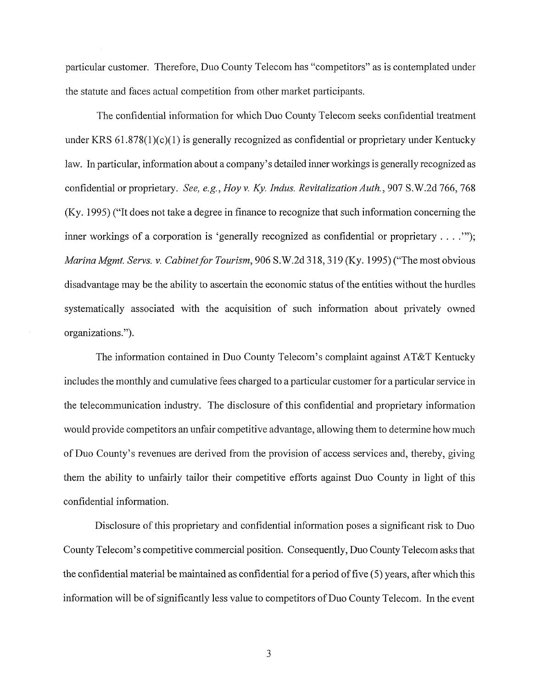particular customer. Therefore, Duo County Telecom has "competitors" as is contemplated under the statute and faces actual competition from other market participants.

The confidential information for which Duo County Telecom seeks confidential treatment under KRS  $61.878(1)(c)(1)$  is generally recognized as confidential or proprietary under Kentucky law. In particular, information about a company's detailed inner workings is generally recognized as confidential or proprietary. *See, e.g., Hoy v. Ky. Indus. Revitalization Auth.,* 907 S.W.2d *766,768*  (Ky. 1995) ("It does not take a degree in finance to recognize that such information concerning the inner workings of a corporation is 'generally recognized as confidential or proprietary . . . .'"); *Marina Mgmt. Servs. v. Cabinet for Tourism,* 906 S.W.2d *3* 18,3 19 (Ky. 1995) ("The most obvious disadvantage may be the ability to ascertain the economic status of the entities without the hurdles systematically associated with the acquisition of such information about privately owned organizations .").

The information contained in Duo County Telecom's complaint against AT&T Kentucky includes the monthly and cumulative fees charged to a particular customer for a particular service in the telecommunication industry. The disclosure of this confidential and proprietary information would provide competitors an unfair competitive advantage, allowing them to determine how much of Duo County's revenues are derived from the provision of access services and, thereby, giving them the ability to unfairly tailor their competitive efforts against Duo County in light of this confidential information.

Disclosure of this proprietary and confidential information poses a significant risk to Duo County Telecom's competitive commercial position. Consequently, Duo County Telecom asks that the confidential material be maintained as confidential for a period of five (5) years, after which this information will be of significantly less value to competitors of Duo County Telecom. In the event

3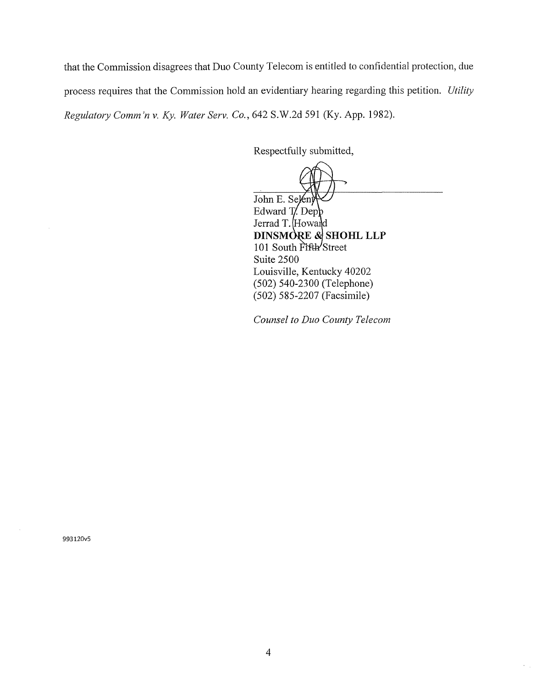that the Commission disagrees that Duo County Telecom is entitled to confidential protection, due process requires that the Commission hold an evidentiary hearing regarding this petition. *Utility Regulatory Comm 'n v. Ky. Water Serv. Co.,* 642 S.W.2d 591 (Ky. App. 1982).

Respectfully submitted,

John E. Selen Edward  $T$  Depp Jerrad T. Howard DINSMORE & SHOHL LLP 101 South Fifth Street Suite 2500 Louisville, Kentucky 40202 (502) 540-2.300 (Telephone) (502) 585-2207 (Facsimile)

*Counsel to Duo County Telecom* 

993120v5